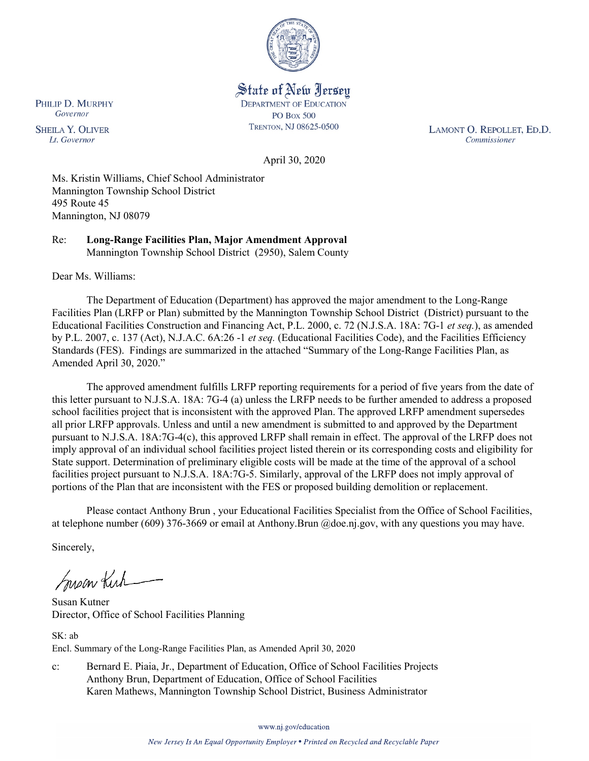

State of New Jersey **DEPARTMENT OF EDUCATION PO Box 500** TRENTON, NJ 08625-0500

LAMONT O. REPOLLET, ED.D. Commissioner

April 30, 2020

Ms. Kristin Williams, Chief School Administrator Mannington Township School District 495 Route 45 Mannington, NJ 08079

Re: **Long-Range Facilities Plan, Major Amendment Approval** Mannington Township School District (2950), Salem County

Dear Ms. Williams:

The Department of Education (Department) has approved the major amendment to the Long-Range Facilities Plan (LRFP or Plan) submitted by the Mannington Township School District (District) pursuant to the Educational Facilities Construction and Financing Act, P.L. 2000, c. 72 (N.J.S.A. 18A: 7G-1 *et seq.*), as amended by P.L. 2007, c. 137 (Act), N.J.A.C. 6A:26 -1 *et seq.* (Educational Facilities Code), and the Facilities Efficiency Standards (FES). Findings are summarized in the attached "Summary of the Long-Range Facilities Plan, as Amended April 30, 2020."

The approved amendment fulfills LRFP reporting requirements for a period of five years from the date of this letter pursuant to N.J.S.A. 18A: 7G-4 (a) unless the LRFP needs to be further amended to address a proposed school facilities project that is inconsistent with the approved Plan. The approved LRFP amendment supersedes all prior LRFP approvals. Unless and until a new amendment is submitted to and approved by the Department pursuant to N.J.S.A. 18A:7G-4(c), this approved LRFP shall remain in effect. The approval of the LRFP does not imply approval of an individual school facilities project listed therein or its corresponding costs and eligibility for State support. Determination of preliminary eligible costs will be made at the time of the approval of a school facilities project pursuant to N.J.S.A. 18A:7G-5. Similarly, approval of the LRFP does not imply approval of portions of the Plan that are inconsistent with the FES or proposed building demolition or replacement.

Please contact Anthony Brun , your Educational Facilities Specialist from the Office of School Facilities, at telephone number (609) 376-3669 or email at Anthony.Brun @doe.nj.gov, with any questions you may have.

Sincerely,

Susan Kich

Susan Kutner Director, Office of School Facilities Planning

SK: ab Encl. Summary of the Long-Range Facilities Plan, as Amended April 30, 2020

c: Bernard E. Piaia, Jr., Department of Education, Office of School Facilities Projects Anthony Brun, Department of Education, Office of School Facilities Karen Mathews, Mannington Township School District, Business Administrator

www.nj.gov/education

New Jersey Is An Equal Opportunity Employer . Printed on Recycled and Recyclable Paper

PHILIP D. MURPHY Governor

**SHEILA Y. OLIVER** Lt. Governor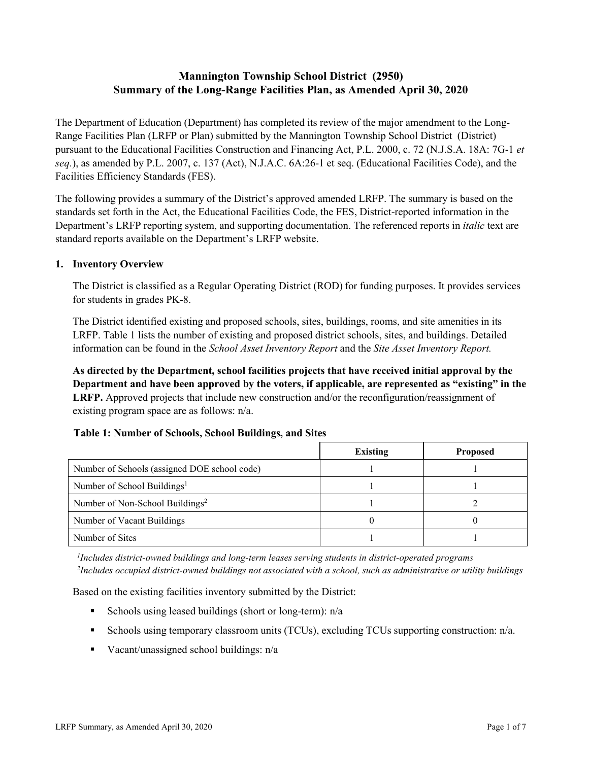# **Mannington Township School District (2950) Summary of the Long-Range Facilities Plan, as Amended April 30, 2020**

The Department of Education (Department) has completed its review of the major amendment to the Long-Range Facilities Plan (LRFP or Plan) submitted by the Mannington Township School District (District) pursuant to the Educational Facilities Construction and Financing Act, P.L. 2000, c. 72 (N.J.S.A. 18A: 7G-1 *et seq.*), as amended by P.L. 2007, c. 137 (Act), N.J.A.C. 6A:26-1 et seq. (Educational Facilities Code), and the Facilities Efficiency Standards (FES).

The following provides a summary of the District's approved amended LRFP. The summary is based on the standards set forth in the Act, the Educational Facilities Code, the FES, District-reported information in the Department's LRFP reporting system, and supporting documentation. The referenced reports in *italic* text are standard reports available on the Department's LRFP website.

#### **1. Inventory Overview**

The District is classified as a Regular Operating District (ROD) for funding purposes. It provides services for students in grades PK-8.

The District identified existing and proposed schools, sites, buildings, rooms, and site amenities in its LRFP. Table 1 lists the number of existing and proposed district schools, sites, and buildings. Detailed information can be found in the *School Asset Inventory Report* and the *Site Asset Inventory Report.*

**As directed by the Department, school facilities projects that have received initial approval by the Department and have been approved by the voters, if applicable, are represented as "existing" in the LRFP.** Approved projects that include new construction and/or the reconfiguration/reassignment of existing program space are as follows: n/a.

#### **Table 1: Number of Schools, School Buildings, and Sites**

|                                              | Existing | <b>Proposed</b> |
|----------------------------------------------|----------|-----------------|
| Number of Schools (assigned DOE school code) |          |                 |
| Number of School Buildings <sup>1</sup>      |          |                 |
| Number of Non-School Buildings <sup>2</sup>  |          |                 |
| Number of Vacant Buildings                   |          |                 |
| Number of Sites                              |          |                 |

*1 Includes district-owned buildings and long-term leases serving students in district-operated programs 2 Includes occupied district-owned buildings not associated with a school, such as administrative or utility buildings*

Based on the existing facilities inventory submitted by the District:

- Schools using leased buildings (short or long-term):  $n/a$
- Schools using temporary classroom units (TCUs), excluding TCUs supporting construction: n/a.
- Vacant/unassigned school buildings:  $n/a$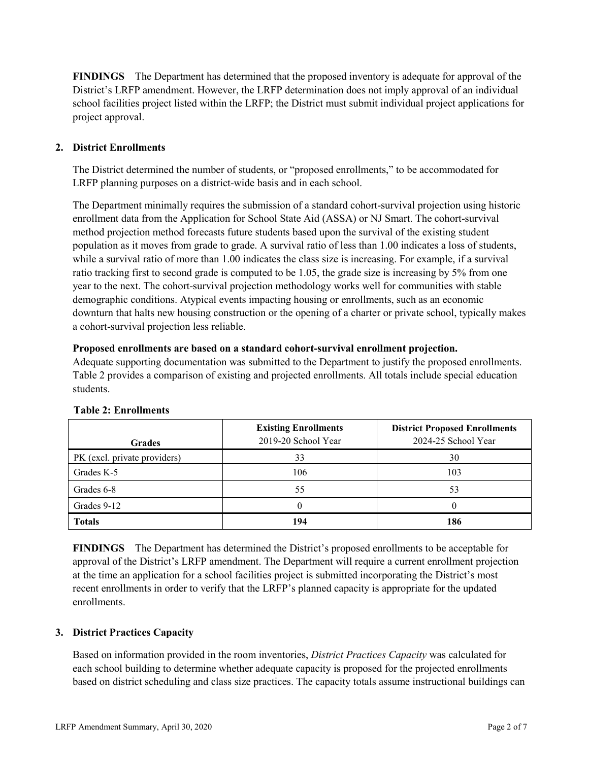**FINDINGS** The Department has determined that the proposed inventory is adequate for approval of the District's LRFP amendment. However, the LRFP determination does not imply approval of an individual school facilities project listed within the LRFP; the District must submit individual project applications for project approval.

## **2. District Enrollments**

The District determined the number of students, or "proposed enrollments," to be accommodated for LRFP planning purposes on a district-wide basis and in each school.

The Department minimally requires the submission of a standard cohort-survival projection using historic enrollment data from the Application for School State Aid (ASSA) or NJ Smart. The cohort-survival method projection method forecasts future students based upon the survival of the existing student population as it moves from grade to grade. A survival ratio of less than 1.00 indicates a loss of students, while a survival ratio of more than 1.00 indicates the class size is increasing. For example, if a survival ratio tracking first to second grade is computed to be 1.05, the grade size is increasing by 5% from one year to the next. The cohort-survival projection methodology works well for communities with stable demographic conditions. Atypical events impacting housing or enrollments, such as an economic downturn that halts new housing construction or the opening of a charter or private school, typically makes a cohort-survival projection less reliable.

#### **Proposed enrollments are based on a standard cohort-survival enrollment projection.**

Adequate supporting documentation was submitted to the Department to justify the proposed enrollments. Table 2 provides a comparison of existing and projected enrollments. All totals include special education students.

| <b>Grades</b>                | <b>Existing Enrollments</b><br>2019-20 School Year | <b>District Proposed Enrollments</b><br>2024-25 School Year |
|------------------------------|----------------------------------------------------|-------------------------------------------------------------|
| PK (excl. private providers) | 33                                                 | 30                                                          |
| Grades K-5                   | 106                                                | 103                                                         |
| Grades 6-8                   | 55                                                 | 53                                                          |
| Grades 9-12                  |                                                    |                                                             |
| <b>Totals</b>                | 194                                                | 186                                                         |

#### **Table 2: Enrollments**

**FINDINGS** The Department has determined the District's proposed enrollments to be acceptable for approval of the District's LRFP amendment. The Department will require a current enrollment projection at the time an application for a school facilities project is submitted incorporating the District's most recent enrollments in order to verify that the LRFP's planned capacity is appropriate for the updated enrollments.

#### **3. District Practices Capacity**

Based on information provided in the room inventories, *District Practices Capacity* was calculated for each school building to determine whether adequate capacity is proposed for the projected enrollments based on district scheduling and class size practices. The capacity totals assume instructional buildings can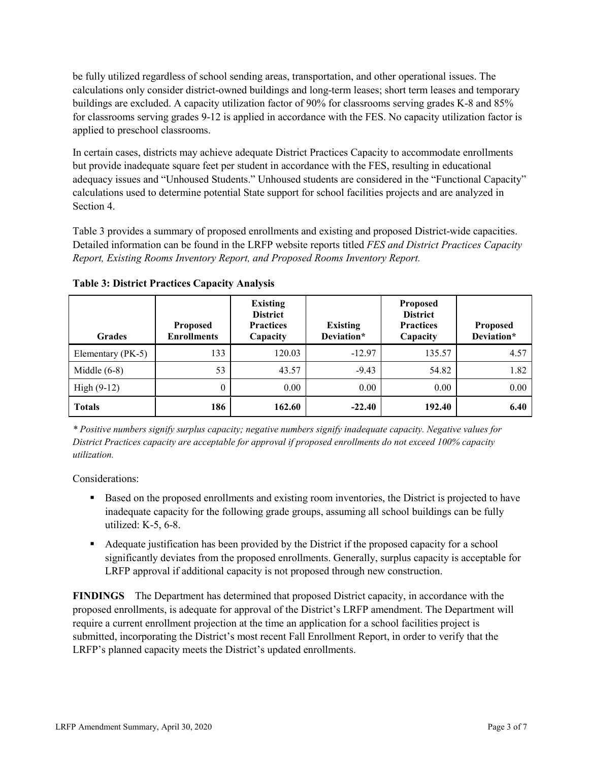be fully utilized regardless of school sending areas, transportation, and other operational issues. The calculations only consider district-owned buildings and long-term leases; short term leases and temporary buildings are excluded. A capacity utilization factor of 90% for classrooms serving grades K-8 and 85% for classrooms serving grades 9-12 is applied in accordance with the FES. No capacity utilization factor is applied to preschool classrooms.

In certain cases, districts may achieve adequate District Practices Capacity to accommodate enrollments but provide inadequate square feet per student in accordance with the FES, resulting in educational adequacy issues and "Unhoused Students." Unhoused students are considered in the "Functional Capacity" calculations used to determine potential State support for school facilities projects and are analyzed in Section 4.

Table 3 provides a summary of proposed enrollments and existing and proposed District-wide capacities. Detailed information can be found in the LRFP website reports titled *FES and District Practices Capacity Report, Existing Rooms Inventory Report, and Proposed Rooms Inventory Report.*

| <b>Grades</b>     | <b>Proposed</b><br><b>Enrollments</b> | <b>Existing</b><br><b>District</b><br><b>Practices</b><br>Capacity | <b>Existing</b><br>Deviation* | <b>Proposed</b><br><b>District</b><br><b>Practices</b><br>Capacity | <b>Proposed</b><br>Deviation* |
|-------------------|---------------------------------------|--------------------------------------------------------------------|-------------------------------|--------------------------------------------------------------------|-------------------------------|
| Elementary (PK-5) | 133                                   | 120.03                                                             | $-12.97$                      | 135.57                                                             | 4.57                          |
| Middle $(6-8)$    | 53                                    | 43.57                                                              | $-9.43$                       | 54.82                                                              | 1.82                          |
| High $(9-12)$     | $\theta$                              | 0.00                                                               | 0.00                          | 0.00                                                               | 0.00                          |
| <b>Totals</b>     | 186                                   | 162.60                                                             | $-22.40$                      | 192.40                                                             | 6.40                          |

**Table 3: District Practices Capacity Analysis**

*\* Positive numbers signify surplus capacity; negative numbers signify inadequate capacity. Negative values for District Practices capacity are acceptable for approval if proposed enrollments do not exceed 100% capacity utilization.*

Considerations:

- **Based on the proposed enrollments and existing room inventories, the District is projected to have** inadequate capacity for the following grade groups, assuming all school buildings can be fully utilized: K-5, 6-8.
- Adequate justification has been provided by the District if the proposed capacity for a school significantly deviates from the proposed enrollments. Generally, surplus capacity is acceptable for LRFP approval if additional capacity is not proposed through new construction.

**FINDINGS**The Department has determined that proposed District capacity, in accordance with the proposed enrollments, is adequate for approval of the District's LRFP amendment. The Department will require a current enrollment projection at the time an application for a school facilities project is submitted, incorporating the District's most recent Fall Enrollment Report, in order to verify that the LRFP's planned capacity meets the District's updated enrollments.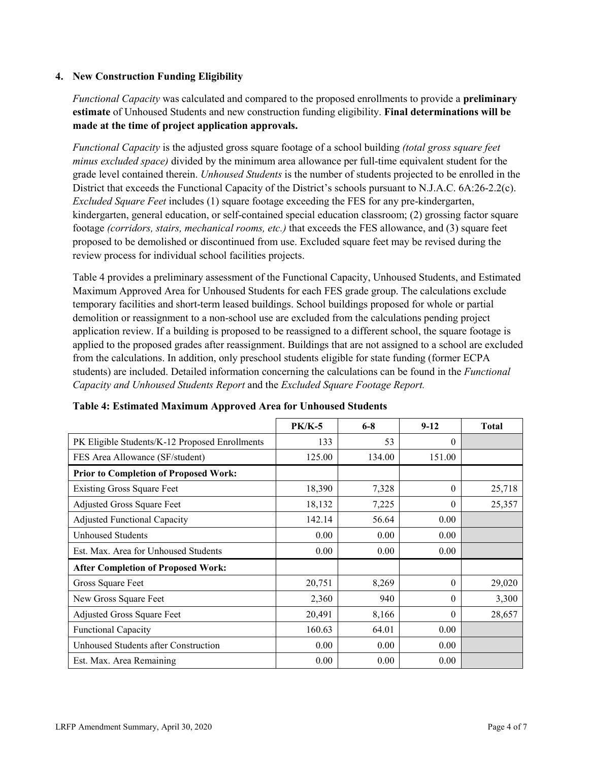### **4. New Construction Funding Eligibility**

*Functional Capacity* was calculated and compared to the proposed enrollments to provide a **preliminary estimate** of Unhoused Students and new construction funding eligibility. **Final determinations will be made at the time of project application approvals.**

*Functional Capacity* is the adjusted gross square footage of a school building *(total gross square feet minus excluded space)* divided by the minimum area allowance per full-time equivalent student for the grade level contained therein. *Unhoused Students* is the number of students projected to be enrolled in the District that exceeds the Functional Capacity of the District's schools pursuant to N.J.A.C. 6A:26-2.2(c). *Excluded Square Feet* includes (1) square footage exceeding the FES for any pre-kindergarten, kindergarten, general education, or self-contained special education classroom; (2) grossing factor square footage *(corridors, stairs, mechanical rooms, etc.)* that exceeds the FES allowance, and (3) square feet proposed to be demolished or discontinued from use. Excluded square feet may be revised during the review process for individual school facilities projects.

Table 4 provides a preliminary assessment of the Functional Capacity, Unhoused Students, and Estimated Maximum Approved Area for Unhoused Students for each FES grade group. The calculations exclude temporary facilities and short-term leased buildings. School buildings proposed for whole or partial demolition or reassignment to a non-school use are excluded from the calculations pending project application review. If a building is proposed to be reassigned to a different school, the square footage is applied to the proposed grades after reassignment. Buildings that are not assigned to a school are excluded from the calculations. In addition, only preschool students eligible for state funding (former ECPA students) are included. Detailed information concerning the calculations can be found in the *Functional Capacity and Unhoused Students Report* and the *Excluded Square Footage Report.*

|                                                | <b>PK/K-5</b> | $6 - 8$ | $9 - 12$ | <b>Total</b> |
|------------------------------------------------|---------------|---------|----------|--------------|
| PK Eligible Students/K-12 Proposed Enrollments | 133           | 53      | $\theta$ |              |
| FES Area Allowance (SF/student)                | 125.00        | 134.00  | 151.00   |              |
| <b>Prior to Completion of Proposed Work:</b>   |               |         |          |              |
| <b>Existing Gross Square Feet</b>              | 18,390        | 7,328   | $\theta$ | 25,718       |
| Adjusted Gross Square Feet                     | 18,132        | 7,225   | $\theta$ | 25,357       |
| <b>Adjusted Functional Capacity</b>            | 142.14        | 56.64   | 0.00     |              |
| <b>Unhoused Students</b>                       | 0.00          | 0.00    | 0.00     |              |
| Est. Max. Area for Unhoused Students           | 0.00          | 0.00    | 0.00     |              |
| <b>After Completion of Proposed Work:</b>      |               |         |          |              |
| Gross Square Feet                              | 20,751        | 8,269   | $\theta$ | 29,020       |
| New Gross Square Feet                          | 2,360         | 940     | $\theta$ | 3,300        |
| Adjusted Gross Square Feet                     | 20,491        | 8,166   | $\Omega$ | 28,657       |
| Functional Capacity                            | 160.63        | 64.01   | 0.00     |              |
| Unhoused Students after Construction           | 0.00          | 0.00    | 0.00     |              |
| Est. Max. Area Remaining                       | 0.00          | 0.00    | 0.00     |              |

**Table 4: Estimated Maximum Approved Area for Unhoused Students**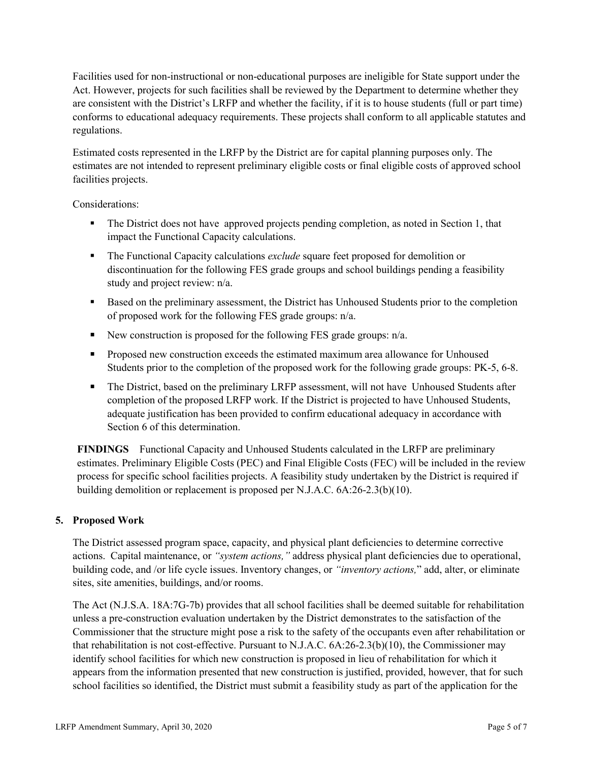Facilities used for non-instructional or non-educational purposes are ineligible for State support under the Act. However, projects for such facilities shall be reviewed by the Department to determine whether they are consistent with the District's LRFP and whether the facility, if it is to house students (full or part time) conforms to educational adequacy requirements. These projects shall conform to all applicable statutes and regulations.

Estimated costs represented in the LRFP by the District are for capital planning purposes only. The estimates are not intended to represent preliminary eligible costs or final eligible costs of approved school facilities projects.

Considerations:

- The District does not have approved projects pending completion, as noted in Section 1, that impact the Functional Capacity calculations.
- The Functional Capacity calculations *exclude* square feet proposed for demolition or discontinuation for the following FES grade groups and school buildings pending a feasibility study and project review: n/a.
- Based on the preliminary assessment, the District has Unhoused Students prior to the completion of proposed work for the following FES grade groups: n/a.
- New construction is proposed for the following FES grade groups:  $n/a$ .
- **Proposed new construction exceeds the estimated maximum area allowance for Unhoused** Students prior to the completion of the proposed work for the following grade groups: PK-5, 6-8.
- The District, based on the preliminary LRFP assessment, will not have Unhoused Students after completion of the proposed LRFP work. If the District is projected to have Unhoused Students, adequate justification has been provided to confirm educational adequacy in accordance with Section 6 of this determination.

**FINDINGS** Functional Capacity and Unhoused Students calculated in the LRFP are preliminary estimates. Preliminary Eligible Costs (PEC) and Final Eligible Costs (FEC) will be included in the review process for specific school facilities projects. A feasibility study undertaken by the District is required if building demolition or replacement is proposed per N.J.A.C. 6A:26-2.3(b)(10).

## **5. Proposed Work**

The District assessed program space, capacity, and physical plant deficiencies to determine corrective actions. Capital maintenance, or *"system actions,"* address physical plant deficiencies due to operational, building code, and /or life cycle issues. Inventory changes, or *"inventory actions,*" add, alter, or eliminate sites, site amenities, buildings, and/or rooms.

The Act (N.J.S.A. 18A:7G-7b) provides that all school facilities shall be deemed suitable for rehabilitation unless a pre-construction evaluation undertaken by the District demonstrates to the satisfaction of the Commissioner that the structure might pose a risk to the safety of the occupants even after rehabilitation or that rehabilitation is not cost-effective. Pursuant to N.J.A.C. 6A:26-2.3(b)(10), the Commissioner may identify school facilities for which new construction is proposed in lieu of rehabilitation for which it appears from the information presented that new construction is justified, provided, however, that for such school facilities so identified, the District must submit a feasibility study as part of the application for the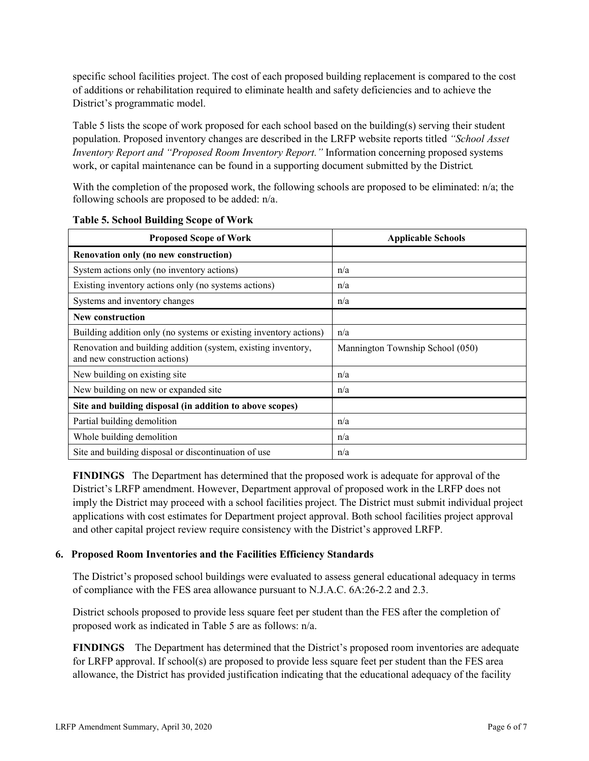specific school facilities project. The cost of each proposed building replacement is compared to the cost of additions or rehabilitation required to eliminate health and safety deficiencies and to achieve the District's programmatic model.

Table 5 lists the scope of work proposed for each school based on the building(s) serving their student population. Proposed inventory changes are described in the LRFP website reports titled *"School Asset Inventory Report and "Proposed Room Inventory Report."* Information concerning proposed systems work, or capital maintenance can be found in a supporting document submitted by the District.

With the completion of the proposed work, the following schools are proposed to be eliminated: n/a; the following schools are proposed to be added: n/a.

| <b>Proposed Scope of Work</b>                                                                  | <b>Applicable Schools</b>        |
|------------------------------------------------------------------------------------------------|----------------------------------|
| Renovation only (no new construction)                                                          |                                  |
| System actions only (no inventory actions)                                                     | n/a                              |
| Existing inventory actions only (no systems actions)                                           | n/a                              |
| Systems and inventory changes                                                                  | n/a                              |
| <b>New construction</b>                                                                        |                                  |
| Building addition only (no systems or existing inventory actions)                              | n/a                              |
| Renovation and building addition (system, existing inventory,<br>and new construction actions) | Mannington Township School (050) |
| New building on existing site                                                                  | n/a                              |
| New building on new or expanded site                                                           | n/a                              |
| Site and building disposal (in addition to above scopes)                                       |                                  |
| Partial building demolition                                                                    | n/a                              |
| Whole building demolition                                                                      | n/a                              |
| Site and building disposal or discontinuation of use                                           | n/a                              |

**Table 5. School Building Scope of Work**

**FINDINGS** The Department has determined that the proposed work is adequate for approval of the District's LRFP amendment. However, Department approval of proposed work in the LRFP does not imply the District may proceed with a school facilities project. The District must submit individual project applications with cost estimates for Department project approval. Both school facilities project approval and other capital project review require consistency with the District's approved LRFP.

#### **6. Proposed Room Inventories and the Facilities Efficiency Standards**

The District's proposed school buildings were evaluated to assess general educational adequacy in terms of compliance with the FES area allowance pursuant to N.J.A.C. 6A:26-2.2 and 2.3.

District schools proposed to provide less square feet per student than the FES after the completion of proposed work as indicated in Table 5 are as follows: n/a.

**FINDINGS** The Department has determined that the District's proposed room inventories are adequate for LRFP approval. If school(s) are proposed to provide less square feet per student than the FES area allowance, the District has provided justification indicating that the educational adequacy of the facility